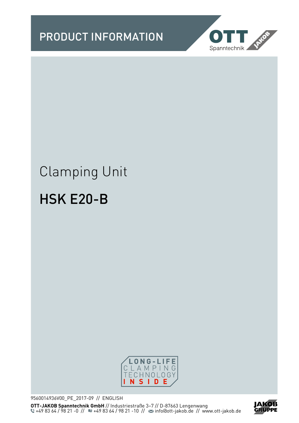

# Clamping Unit

# HSK E20-B



9560014936V00\_PE\_2017-09 // ENGLISH **OTT-JAKOB Spanntechnik GmbH** // Industriestraße 3–7 // D-87663 Lengenwang +49 83 64 / 98 21 -0 // <sup>11</sup> · 49 83 64 / 98 21 -10 // <sup>22</sup> info@ott-jakob.de // www.ott-jakob.de

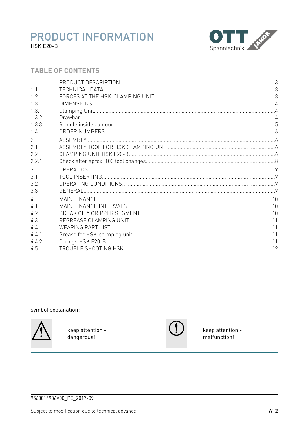

### **TABLE OF CONTENTS**

| 1.1            |  |
|----------------|--|
| 1.2            |  |
| 1.3            |  |
| 1.3.1          |  |
| 1.3.2          |  |
| 1.3.3          |  |
| 1.4            |  |
| $\overline{2}$ |  |
| 2.1            |  |
| 2.2            |  |
| 2.2.1          |  |
| 3              |  |
| 3.1            |  |
| 3.2            |  |
| 3.3            |  |
| $\sqrt{ }$     |  |
| 41             |  |
| 4.2            |  |
| 4.3            |  |
| 44             |  |
| 4.4.1          |  |
| 4.4.2          |  |
| 4.5            |  |

symbol explanation:



keep attention dangerous!



keep attention malfunction!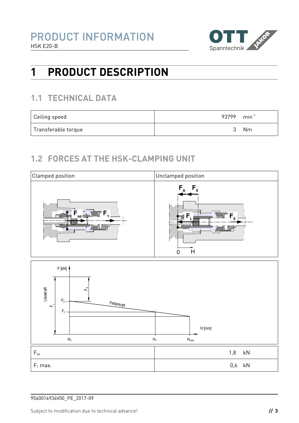

# **1 PRODUCT DESCRIPTION**

# **1.1 TECHNICAL DATA**

| Ceiling speed       | 93799 | $min^{-1}$ |
|---------------------|-------|------------|
| Transferable torque |       | Nm         |

# **1.2 FORCES AT THE HSK-CLAMPING UNIT**



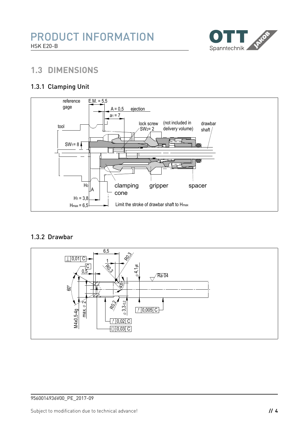

# **1.3 DIMENSIONS**

### 1.3.1 Clamping Unit



#### 1.3.2 Drawbar

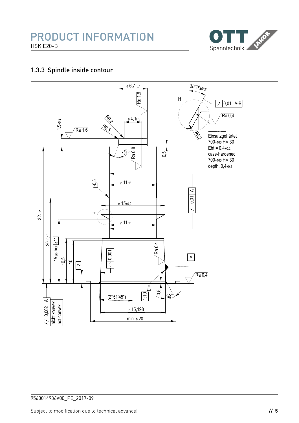

### 1.3.3 Spindle inside contour

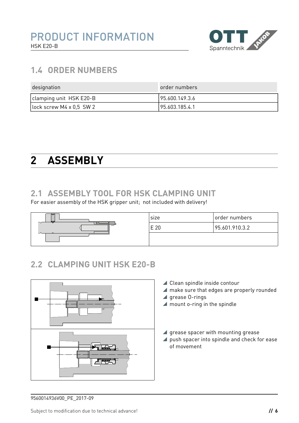

# **1.4 ORDER NUMBERS**

| designation                 | order numbers  |
|-----------------------------|----------------|
| clamping unit HSK E20-B     | 95.600.149.3.6 |
| $ lock$ screw M4 x 0.5 SW 2 | 95.603.185.4.1 |

# <span id="page-5-0"></span>**2 ASSEMBLY**

### **2.1 ASSEMBLY TOOL FOR HSK CLAMPING UNIT**

For easier assembly of the HSK gripper unit; not included with delivery!



# **2.2 CLAMPING UNIT HSK E20-B**



- ▲ Clean spindle inside contour
- make sure that edges are properly rounded
- $\blacktriangle$  grease 0-rings
- $\blacktriangle$  mount o-ring in the spindle
- $\blacktriangle$  grease spacer with mounting grease
- **push spacer into spindle and check for ease** of movement

<sup>9560014936</sup>V00\_PE\_2017-09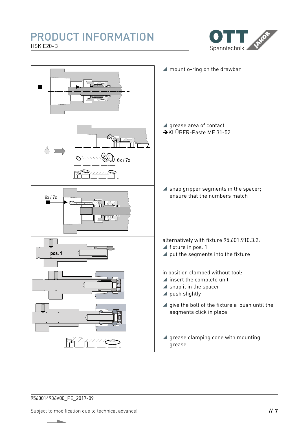# PRODUCT INFORMATION HSK E20-B





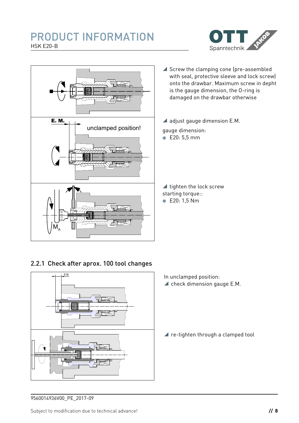### PRODUCT INFORMATION HSK E20-B





#### 2.2.1 Check after aprox. 100 tool changes



- In unclamped position:
- $\blacktriangle$  check dimension gauge E.M.

▲ re-tighten through a clamped tool

9560014936V00\_PE\_2017-09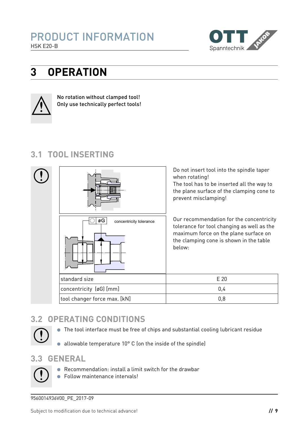

# **3 OPERATION**



No rotation without clamped tool! Only use technically perfect tools!

# **3.1 TOOL INSERTING**



# **3.2 OPERATING CONDITIONS**



- The tool interface must be free of chips and substantial cooling lubricant residue
- allowable temperature 10° C (on the inside of the spindle)

### **3.3 GENERAL**

- Recommendation: install a limit switch for the drawbar
- **•** Follow maintenance intervals!

9560014936V00\_PE\_2017-09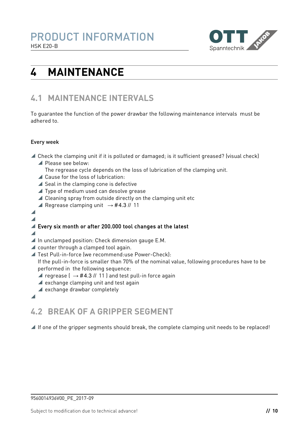

# **4 MAINTENANCE**

# **4.1 MAINTENANCE INTERVALS**

To guarantee the function of the power drawbar the following maintenance intervals must be adhered to.

#### Every week

- Check the clamping unit if it is polluted or damaged; is it sufficient greased? (visual check)
	- Please see below:
		- The regrease cycle depends on the loss of lubrication of the clamping unit.
	- ▲ Cause for the loss of lubrication:
	- $\blacktriangle$  Seal in the clamping cone is defective
	- ▲ Type of medium used can desolve grease
	- $\triangle$  Cleaning spray from outside directly on the clamping unit etc
	- **A** Regrease clamping unit  $→$  #[4.3](#page-10-0) // 11
- $\blacktriangle$  $\blacktriangle$

### ■ Every six month or after 200.000 tool changes at the latest

- $\overline{\phantom{a}}$
- $\blacktriangle$  In unclamped position: Check dimension gauge E.M.
- ▲ counter through a clamped tool again.
- Test Pull-in-force (we recommend:use Power-Check): If the pull-in-force is smaller than 70% of the nominal value, following procedures have to be
	- performed in the following sequence:
	- $\blacktriangle$  regrease (  $\rightarrow$  #[4.3](#page-10-0) // [11](#page-10-0) ) and test pull-in force again
	- $\blacktriangle$  exchange clamping unit and test again
	- $\blacktriangle$  exchange drawbar completely
- 

# **4.2 BREAK OF A GRIPPER SEGMENT**

 $\blacktriangle$  If one of the gripper segments should break, the complete clamping unit needs to be replaced!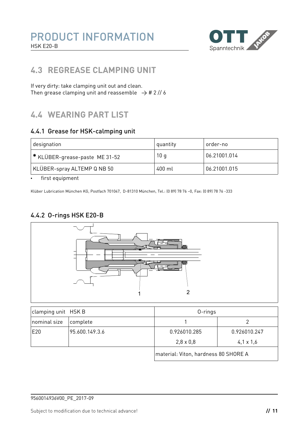

# <span id="page-10-0"></span>**4.3 REGREASE CLAMPING UNIT**

If very dirty: take clamping unit out and clean. Then grease clamping unit and reassemble  $\rightarrow$  # [2](#page-5-0) // 6

# **4.4 WEARING PART LIST**

#### 4.4.1 Grease for HSK-calmping unit

| designation                    | quantity | order-no     |
|--------------------------------|----------|--------------|
| * KLÜBER-grease-paste ME 31-52 | 10q      | 06.21001.014 |
| KLÜBER-spray ALTEMP Q NB 50    | 400 ml   | 06.21001.015 |

• first equipment

Klüber Lubrication München KG, Postfach 701047, D-81310 München, Tel.: (0 89) 78 76 –0, Fax: (0 89) 78 76 -333

### 4.4.2 O-rings HSK E20-B



| clamping unit HSK B |                | $0$ -rings                           |                  |
|---------------------|----------------|--------------------------------------|------------------|
| nominal size        | complete       |                                      |                  |
| E20                 | 95.600.149.3.6 | 0.926010.285                         | 0.926010.247     |
|                     |                | $2,8 \times 0,8$                     | $4,1 \times 1,6$ |
|                     |                | material: Viton, hardness 80 SHORE A |                  |